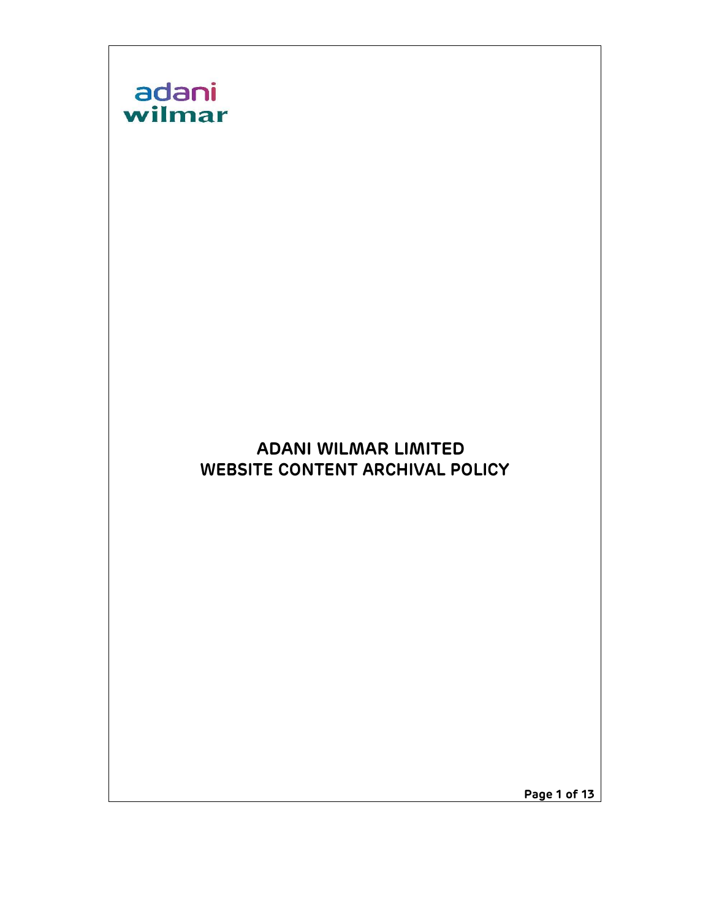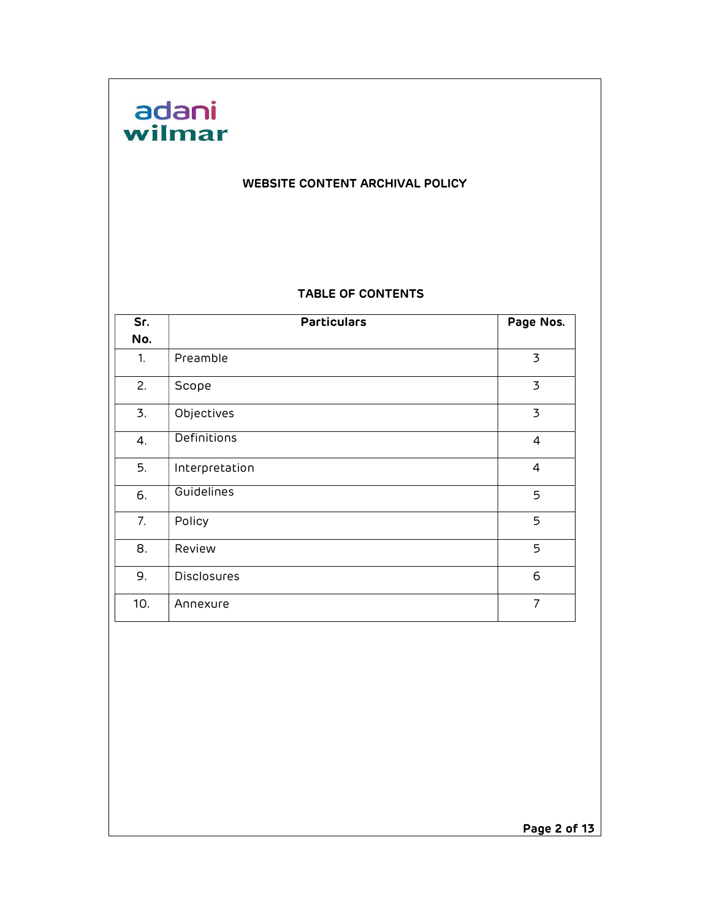

#### WEBSITE CONTENT ARCHIVAL POLICY

#### TABLE OF CONTENTS

| Sr. | <b>Particulars</b> | Page Nos.      |
|-----|--------------------|----------------|
| No. |                    |                |
| 1.  | Preamble           | 3              |
| 2.  | Scope              | 3              |
| 3.  | Objectives         | 3              |
| 4.  | Definitions        | $\overline{4}$ |
| 5.  | Interpretation     | 4              |
| 6.  | Guidelines         | 5              |
| 7.  | Policy             | 5              |
| 8.  | Review             | 5              |
| 9.  | Disclosures        | 6              |
| 10. | Annexure           | $\overline{7}$ |

Page 2 of 13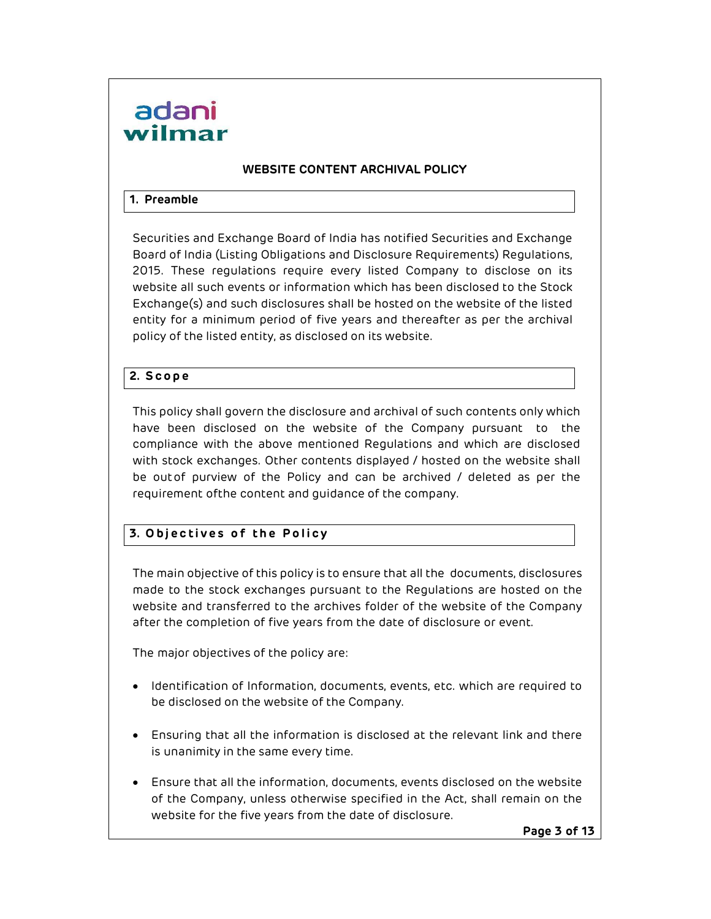#### WEBSITE CONTENT ARCHIVAL POLICY

#### 1. Preamble

Securities and Exchange Board of India has notified Securities and Exchange Board of India (Listing Obligations and Disclosure Requirements) Regulations, 2015. These regulations require every listed Company to disclose on its website all such events or information which has been disclosed to the Stock Exchange(s) and such disclosures shall be hosted on the website of the listed entity for a minimum period of five years and thereafter as per the archival policy of the listed entity, as disclosed on its website.

#### 2. S c o p e

This policy shall govern the disclosure and archival of such contents only which have been disclosed on the website of the Company pursuant to the compliance with the above mentioned Regulations and which are disclosed with stock exchanges. Other contents displayed / hosted on the website shall be out of purview of the Policy and can be archived / deleted as per the requirement of the content and guidance of the company.

#### 3. Objectives of the Policy

The main objective of this policy is to ensure that all the documents, disclosures made to the stock exchanges pursuant to the Regulations are hosted on the website and transferred to the archives folder of the website of the Company after the completion of five years from the date of disclosure or event.

The major objectives of the policy are:

- Identification of Information, documents, events, etc. which are required to be disclosed on the website of the Company.
- Ensuring that all the information is disclosed at the relevant link and there is unanimity in the same every time.
- Ensure that all the information, documents, events disclosed on the website of the Company, unless otherwise specified in the Act, shall remain on the website for the five years from the date of disclosure.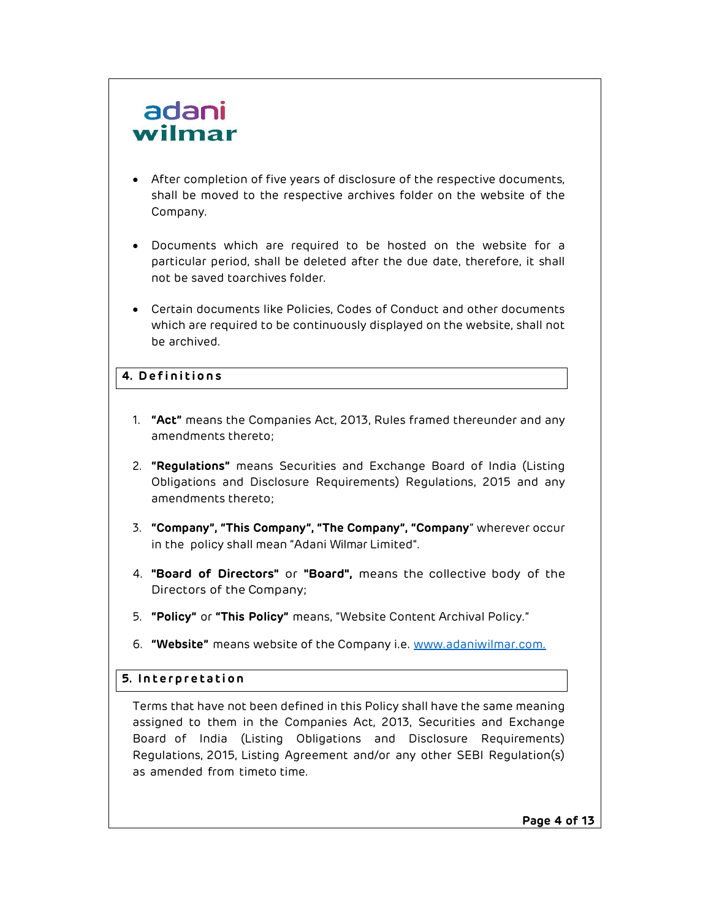- After completion of five years of disclosure of the respective documents, shall be moved to the respective archives folder on the website of the Company.
- Documents which are required to be hosted on the website for a particular period, shall be deleted after the due date, therefore, it shall not be saved to archives folder.
- Certain documents like Policies, Codes of Conduct and other documents which are required to be continuously displayed on the website, shall not be archived.

#### 4. Definitions

- 1. "Act" means the Companies Act, 2013, Rules framed thereunder and any amendments thereto;
- 2. "Regulations" means Securities and Exchange Board of India (Listing Obligations and Disclosure Requirements) Regulations, 2015 and any amendments thereto;
- 3. "Company", "This Company", "The Company", "Company" wherever occur in the policy shall mean "Adani Wilmar Limited".
- 4. "Board of Directors" or "Board", means the collective body of the Directors of the Company;
- 5. "Policy" or "This Policy" means, "Website Content Archival Policy."
- 6. "Website" means website of the Company i.e. www.adaniwilmar.com.

#### 5. Interpretation

Terms that have not been defined in this Policy shall have the same meaning assigned to them in the Companies Act, 2013, Securities and Exchange Board of India (Listing Obligations and Disclosure Requirements) Regulations, 2015, Listing Agreement and/or any other SEBI Regulation(s) as amended from timeto time.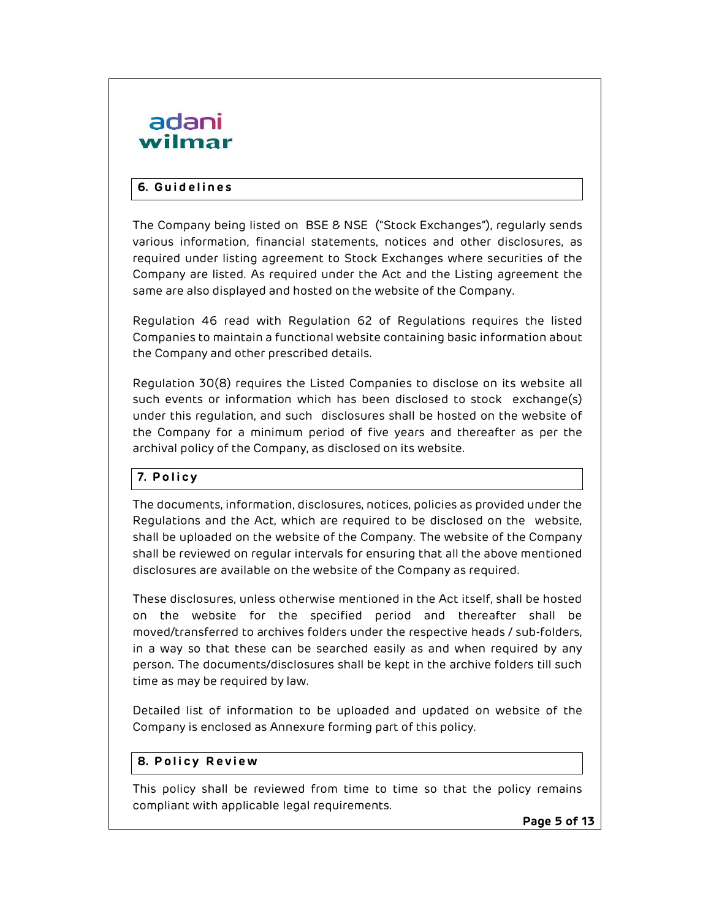#### 6. G u i d e l i n e s

The Company being listed on BSE & NSE ("Stock Exchanges"), regularly sends various information, financial statements, notices and other disclosures, as required under listing agreement to Stock Exchanges where securities of the Company are listed. As required under the Act and the Listing agreement the same are also displayed and hosted on the website of the Company.

Regulation 46 read with Regulation 62 of Regulations requires the listed Companies to maintain a functional website containing basic information about the Company and other prescribed details.

Regulation 30(8) requires the Listed Companies to disclose on its website all such events or information which has been disclosed to stock exchange(s) under this regulation, and such disclosures shall be hosted on the website of the Company for a minimum period of five years and thereafter as per the archival policy of the Company, as disclosed on its website.

#### 7. Policy

The documents, information, disclosures, notices, policies as provided under the Regulations and the Act, which are required to be disclosed on the website, shall be uploaded on the website of the Company. The website of the Company shall be reviewed on regular intervals for ensuring that all the above mentioned disclosures are available on the website of the Company as required.

These disclosures, unless otherwise mentioned in the Act itself, shall be hosted on the website for the specified period and thereafter shall be moved/transferred to archives folders under the respective heads / sub-folders, in a way so that these can be searched easily as and when required by any person. The documents/disclosures shall be kept in the archive folders till such time as may be required by law.

Detailed list of information to be uploaded and updated on website of the Company is enclosed as Annexure forming part of this policy.

#### 8. Policy Review

This policy shall be reviewed from time to time so that the policy remains compliant with applicable legal requirements.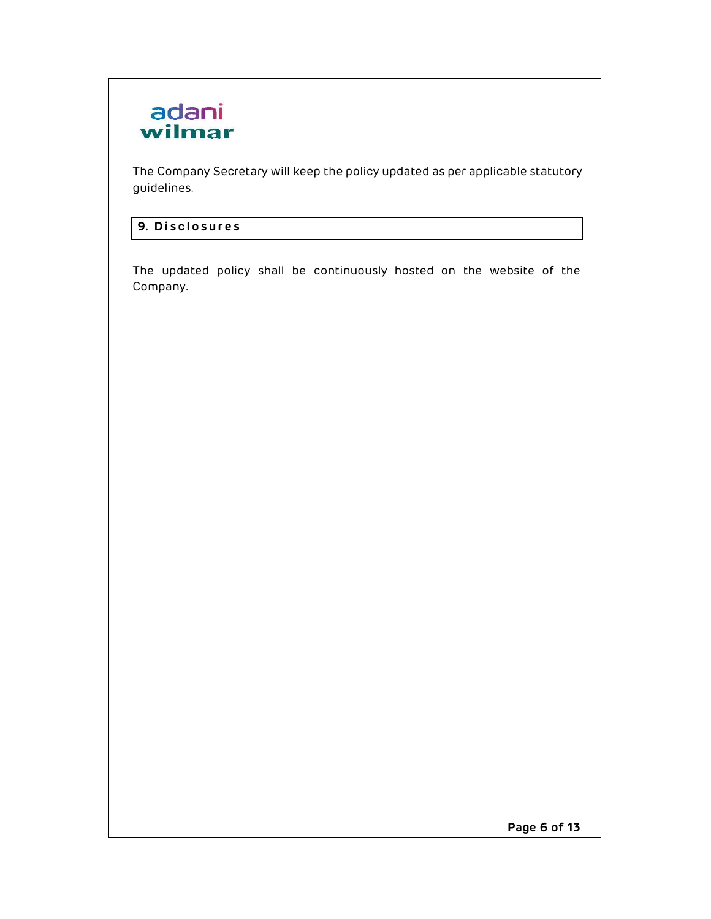# adani<br>wilmar

The Company Secretary will keep the policy updated as per applicable statutory guidelines.

#### 9. Disclosures

The updated policy shall be continuously hosted on the website of the Company.

Page 6 of 13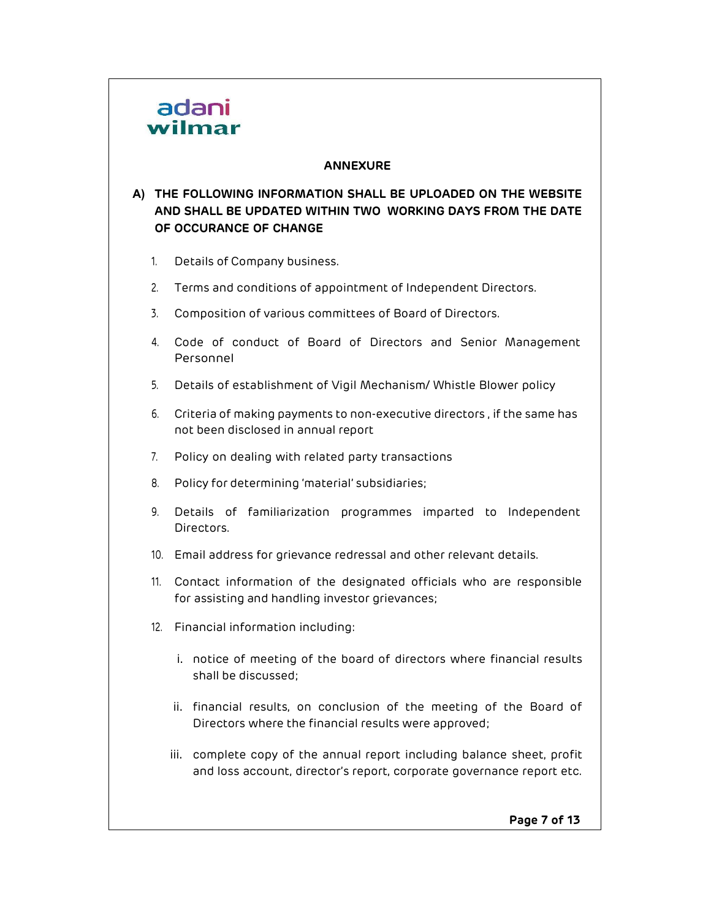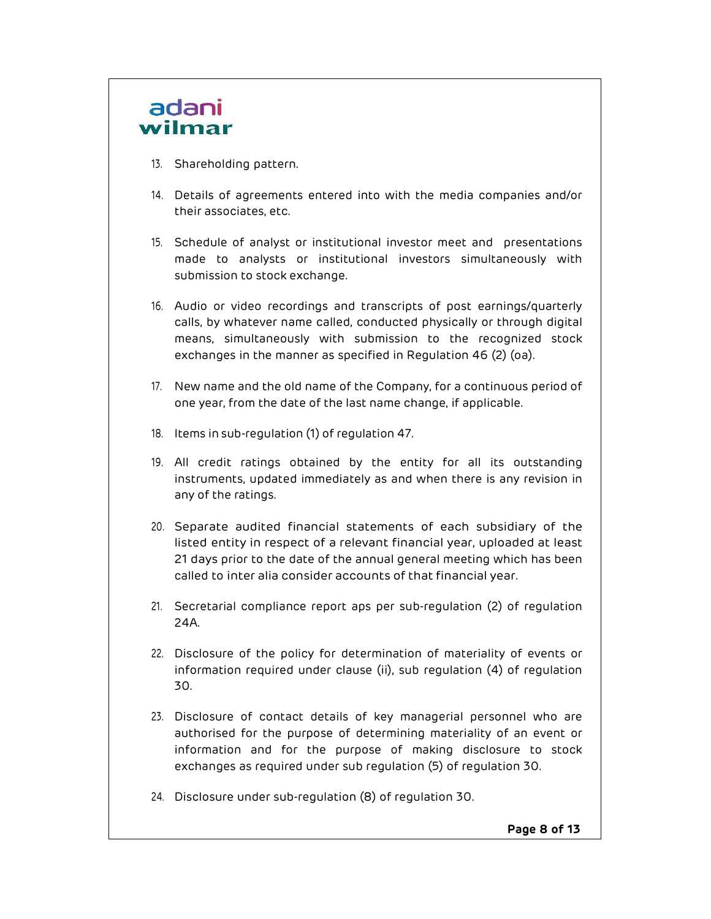- 13. Shareholding pattern.
- 14. Details of agreements entered into with the media companies and/or their associates, etc.
- 15. Schedule of analyst or institutional investor meet and presentations made to analysts or institutional investors simultaneously with submission to stock exchange.
- 16. Audio or video recordings and transcripts of post earnings/quarterly calls, by whatever name called, conducted physically or through digital means, simultaneously with submission to the recognized stock exchanges in the manner as specified in Regulation 46 (2) (oa).
- 17. New name and the old name of the Company, for a continuous period of one year, from the date of the last name change, if applicable.
- 18. Items in sub-regulation (1) of regulation 47.
- 19. All credit ratings obtained by the entity for all its outstanding instruments, updated immediately as and when there is any revision in any of the ratings.
- 20. Separate audited financial statements of each subsidiary of the listed entity in respect of a relevant financial year, uploaded at least 21 days prior to the date of the annual general meeting which has been called to inter alia consider accounts of that financial year.
- 21. Secretarial compliance report aps per sub-regulation (2) of regulation 24A.
- 22. Disclosure of the policy for determination of materiality of events or information required under clause (ii), sub regulation (4) of regulation 30.
- 23. Disclosure of contact details of key managerial personnel who are authorised for the purpose of determining materiality of an event or information and for the purpose of making disclosure to stock exchanges as required under sub regulation (5) of regulation 30.
- 24. Disclosure under sub-regulation (8) of regulation 30.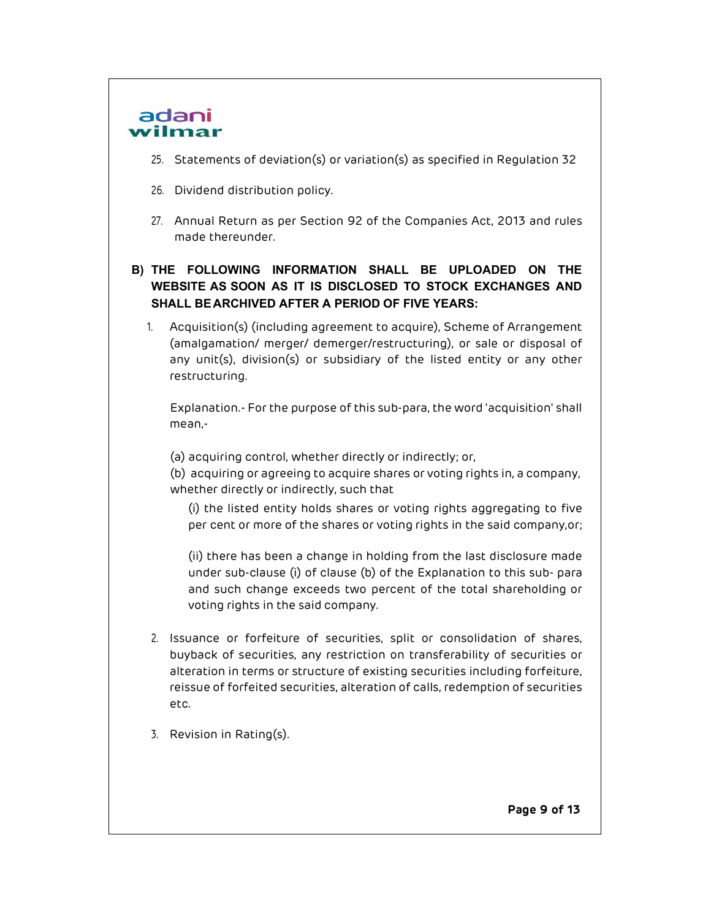- 25. Statements of deviation(s) or variation(s) as specified in Regulation 32
- 26. Dividend distribution policy.
- 27. Annual Return as per Section 92 of the Companies Act, 2013 and rules made thereunder.

B) THE FOLLOWING INFORMATION SHALL BE UPLOADED ON THE WEBSITE AS SOON AS IT IS DISCLOSED TO STOCK EXCHANGES AND SHALL BE ARCHIVED AFTER A PERIOD OF FIVE YEARS:

1. Acquisition(s) (including agreement to acquire), Scheme of Arrangement (amalgamation/ merger/ demerger/restructuring), or sale or disposal of any unit(s), division(s) or subsidiary of the listed entity or any other restructuring.

Explanation.- For the purpose of this sub-para, the word 'acquisition' shall mean,-

(a) acquiring control, whether directly or indirectly; or,

(b) acquiring or agreeing to acquire shares or voting rights in, a company, whether directly or indirectly, such that

(i) the listed entity holds shares or voting rights aggregating to five per cent or more of the shares or voting rights in the said company, or;

(ii) there has been a change in holding from the last disclosure made under sub-clause (i) of clause (b) of the Explanation to this sub- para and such change exceeds two percent of the total shareholding or voting rights in the said company.

- 2. Issuance or forfeiture of securities, split or consolidation of shares, buyback of securities, any restriction on transferability of securities or alteration in terms or structure of existing securities including forfeiture, reissue of forfeited securities, alteration of calls, redemption of securities etc.
- 3. Revision in Rating(s).

Page 9 of 13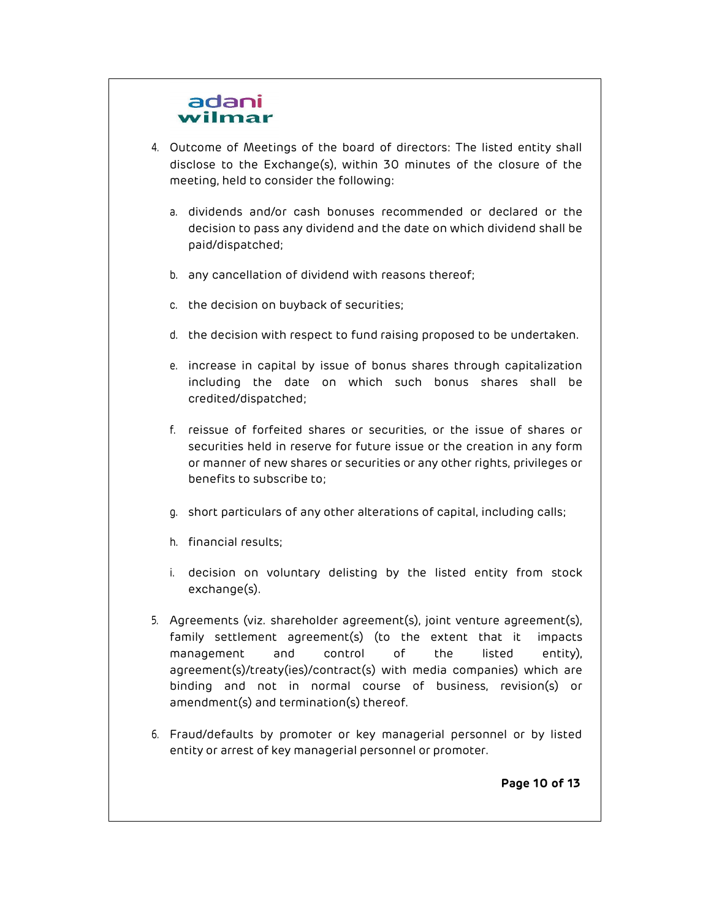- 4. Outcome of Meetings of the board of directors: The listed entity shall disclose to the Exchange(s), within 30 minutes of the closure of the meeting, held to consider the following:
	- a. dividends and/or cash bonuses recommended or declared or the decision to pass any dividend and the date on which dividend shall be paid/dispatched;
	- b. any cancellation of dividend with reasons thereof;
	- c. the decision on buyback of securities;
	- d. the decision with respect to fund raising proposed to be undertaken.
	- e. increase in capital by issue of bonus shares through capitalization including the date on which such bonus shares shall be credited/dispatched;
	- f. reissue of forfeited shares or securities, or the issue of shares or securities held in reserve for future issue or the creation in any form or manner of new shares or securities or any other rights, privileges or benefits to subscribe to;
	- g. short particulars of any other alterations of capital, including calls;
	- h. financial results;
	- i. decision on voluntary delisting by the listed entity from stock exchange(s).
- 5. Agreements (viz. shareholder agreement(s), joint venture agreement(s), family settlement agreement(s) (to the extent that it impacts management and control of the listed entity), agreement(s)/treaty(ies)/contract(s) with media companies) which are binding and not in normal course of business, revision(s) or amendment(s) and termination(s) thereof.
- 6. Fraud/defaults by promoter or key managerial personnel or by listed entity or arrest of key managerial personnel or promoter.

Page 10 of 13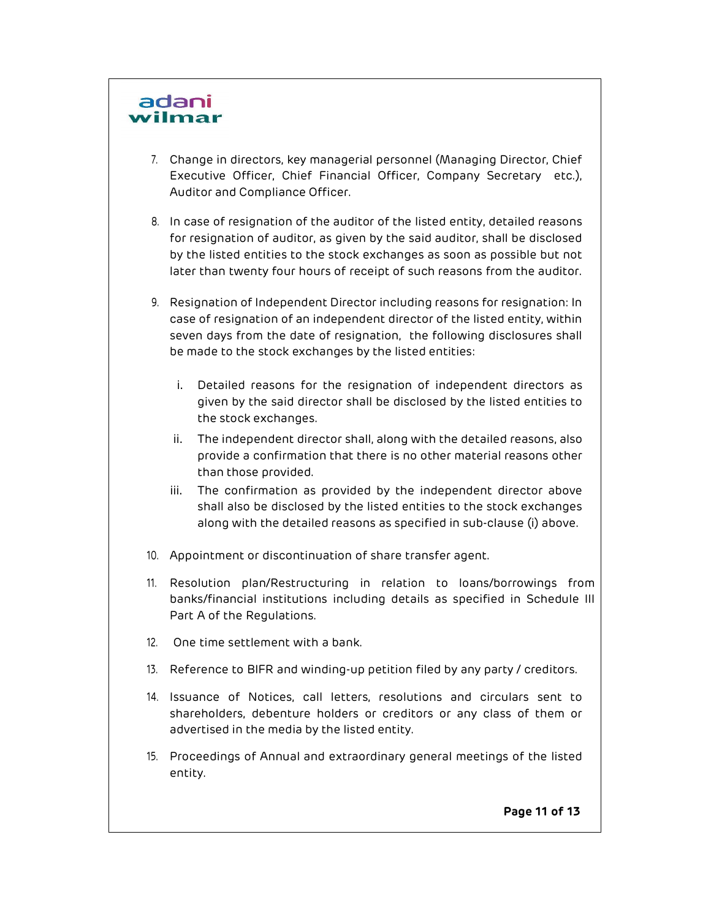- 7. Change in directors, key managerial personnel (Managing Director, Chief Executive Officer, Chief Financial Officer, Company Secretary etc.), Auditor and Compliance Officer.
- 8. In case of resignation of the auditor of the listed entity, detailed reasons for resignation of auditor, as given by the said auditor, shall be disclosed by the listed entities to the stock exchanges as soon as possible but not later than twenty four hours of receipt of such reasons from the auditor.
- 9. Resignation of Independent Director including reasons for resignation: In case of resignation of an independent director of the listed entity, within seven days from the date of resignation, the following disclosures shall be made to the stock exchanges by the listed entities:
	- i. Detailed reasons for the resignation of independent directors as given by the said director shall be disclosed by the listed entities to the stock exchanges.
	- ii. The independent director shall, along with the detailed reasons, also provide a confirmation that there is no other material reasons other than those provided.
	- iii. The confirmation as provided by the independent director above shall also be disclosed by the listed entities to the stock exchanges along with the detailed reasons as specified in sub-clause (i) above.
- 10. Appointment or discontinuation of share transfer agent.
- 11. Resolution plan/Restructuring in relation to loans/borrowings from banks/financial institutions including details as specified in Schedule III Part A of the Regulations.
- 12. One time settlement with a bank.
- 13. Reference to BIFR and winding-up petition filed by any party / creditors.
- 14. Issuance of Notices, call letters, resolutions and circulars sent to shareholders, debenture holders or creditors or any class of them or advertised in the media by the listed entity.
- 15. Proceedings of Annual and extraordinary general meetings of the listed entity.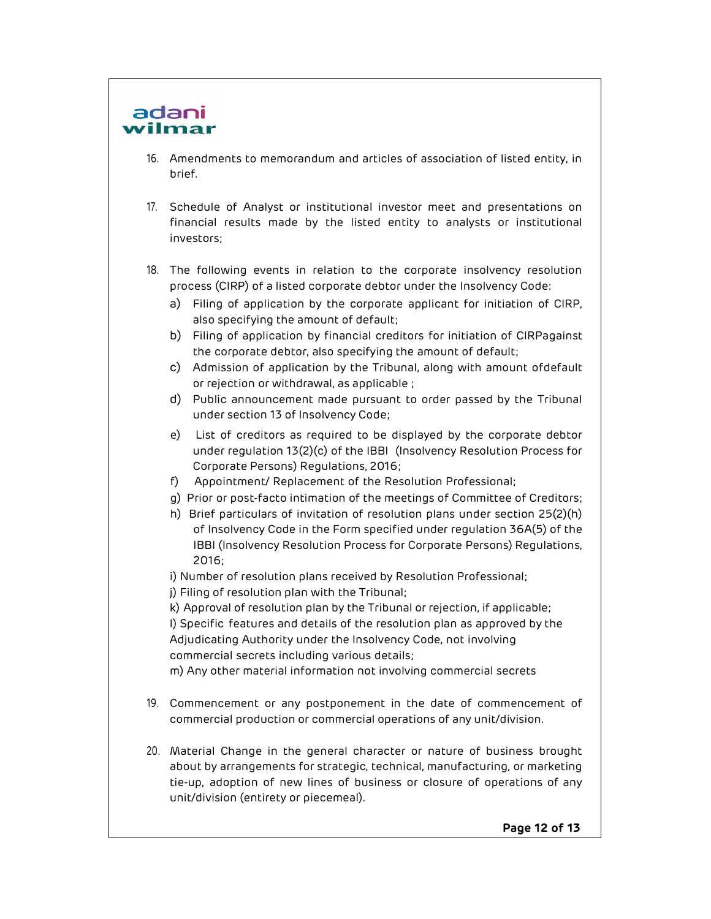- 16. Amendments to memorandum and articles of association of listed entity, in brief.
- 17. Schedule of Analyst or institutional investor meet and presentations on financial results made by the listed entity to analysts or institutional investors;
- 18. The following events in relation to the corporate insolvency resolution process (CIRP) of a listed corporate debtor under the Insolvency Code:
	- a) Filing of application by the corporate applicant for initiation of CIRP, also specifying the amount of default;
	- b) Filing of application by financial creditors for initiation of CIRP against the corporate debtor, also specifying the amount of default;
	- c) Admission of application by the Tribunal, along with amount of default or rejection or withdrawal, as applicable ;
	- d) Public announcement made pursuant to order passed by the Tribunal under section 13 of Insolvency Code;
	- e) List of creditors as required to be displayed by the corporate debtor under regulation 13(2)(c) of the IBBI (Insolvency Resolution Process for Corporate Persons) Regulations, 2016;
	- f) Appointment/ Replacement of the Resolution Professional;
	- g) Prior or post-facto intimation of the meetings of Committee of Creditors;
	- h) Brief particulars of invitation of resolution plans under section 25(2)(h) of Insolvency Code in the Form specified under regulation 36A(5) of the IBBI (Insolvency Resolution Process for Corporate Persons) Regulations, 2016;
	- i) Number of resolution plans received by Resolution Professional;
	- j) Filing of resolution plan with the Tribunal;
	- k) Approval of resolution plan by the Tribunal or rejection, if applicable;

l) Specific features and details of the resolution plan as approved by the Adjudicating Authority under the Insolvency Code, not involving commercial secrets including various details;

m) Any other material information not involving commercial secrets

- 19. Commencement or any postponement in the date of commencement of commercial production or commercial operations of any unit/division.
- 20. Material Change in the general character or nature of business brought about by arrangements for strategic, technical, manufacturing, or marketing tie-up, adoption of new lines of business or closure of operations of any unit/division (entirety or piecemeal).